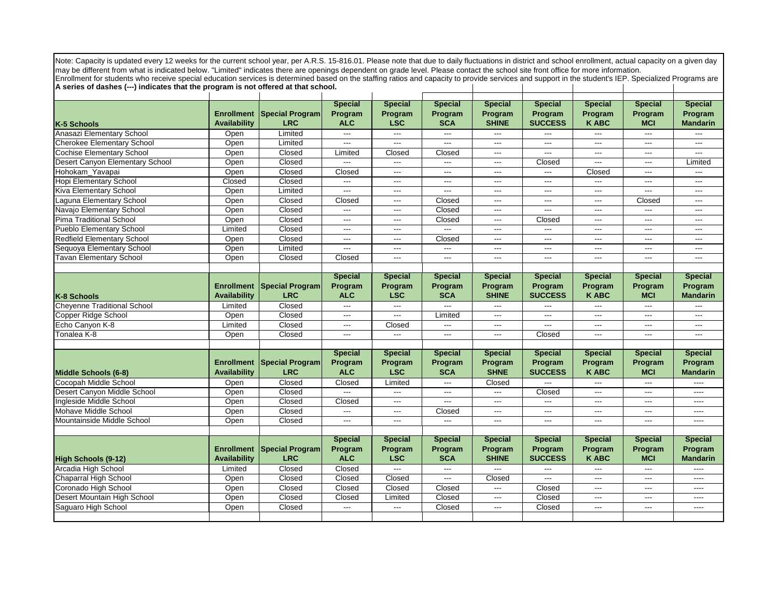Note: Capacity is updated every 12 weeks for the current school year, per A.R.S. 15-816.01. Please note that due to daily fluctuations in district and school enrollment, actual capacity on a given day may be different from what is indicated below. "Limited" indicates there are openings dependent on grade level. Please contact the school site front office for more information. Enrollment for students who receive special education services is determined based on the staffing ratios and capacity to provide services and support in the student's IEP. Specialized Programs are

 $\mathbf{I}$ 

**A series of dashes (---) indicates that the program is not offered at that school.**

|                                    |                     |                        | <b>Special</b> | <b>Special</b>           | <b>Special</b> | <b>Special</b>           | <b>Special</b>         | <b>Special</b>           | <b>Special</b> | <b>Special</b>  |
|------------------------------------|---------------------|------------------------|----------------|--------------------------|----------------|--------------------------|------------------------|--------------------------|----------------|-----------------|
|                                    | <b>Enrollment</b>   | <b>Special Program</b> | Program        | Program                  | Program        | Program                  | Program                | Program                  | Program        | Program         |
| K-5 Schools                        | Availability        | <b>LRC</b>             | <b>ALC</b>     | <b>LSC</b>               | <b>SCA</b>     | <b>SHINE</b>             | <b>SUCCESS</b>         | <b>KABC</b>              | <b>MCI</b>     | <b>Mandarin</b> |
| Anasazi Elementary School          | Open                | Limited                |                | $---$                    | $- - -$        | $\overline{a}$           | ---                    |                          | ---            |                 |
| <b>Cherokee Elementary School</b>  | Open                | Limited                | ---            | $\hspace{0.05cm} \ldots$ | ---            | ---                      | $---$                  | $---$                    | $---$          | $---$           |
| <b>Cochise Elementary School</b>   | Open                | Closed                 | Limited        | Closed                   | Closed         | $\hspace{0.05cm} \ldots$ | ---                    | $---$                    | $---$          | $---$           |
| Desert Canyon Elementary School    | Open                | Closed                 |                | $\overline{a}$           | $\sim$         | $---$                    | Closed                 | $---$                    | $---$          | Limited         |
| Hohokam Yavapai                    | Open                | Closed                 | Closed         | $---$                    | $---$          | $\overline{a}$           | ---                    | Closed                   | $---$          | ---             |
| <b>Hopi Elementary School</b>      | Closed              | Closed                 | $---$          | $---$                    | $---$          | $---$                    | ---                    | $\qquad \qquad - -$      | ---            | $---$           |
| Kiva Elementary School             | Open                | Limited                | $\overline{a}$ | $---$                    | $\overline{a}$ | $---$                    | $---$                  | $---$                    | ---            | $---$           |
| aguna Elementary School            | Open                | Closed                 | Closed         | $---$                    | Closed         | $\hspace{0.05cm} \ldots$ | $\qquad \qquad \cdots$ | $---$                    | Closed         | $---$           |
| Navajo Elementary School           | Open                | Closed                 | $\overline{a}$ | $\hspace{0.05cm} \ldots$ | Closed         | ---                      | ---                    | ---                      | ---            | ---             |
| Pima Traditional School            | Open                | Closed                 | $---$          | $---$                    | Closed         | $\overline{\phantom{a}}$ | Closed                 | $---$                    | $---$          | $---$           |
| <b>Pueblo Elementary School</b>    | Limited             | Closed                 | $\overline{a}$ | $---$                    | $---$          | $\overline{a}$           | ---                    | $---$                    | $---$          | $---$           |
| <b>Redfield Elementary School</b>  | Open                | Closed                 | $---$          | $---$                    | Closed         | $---$                    | $---$                  | $---$                    | $---$          | $---$           |
| Sequoya Elementary School          | Open                | Limited                | $---$          | $---$                    | $---$          | $---$                    | $\overline{a}$         | $---$                    | $---$          | $---$           |
| <b>Tavan Elementary School</b>     | Open                | Closed                 | Closed         | $\hspace{0.05cm} \ldots$ | $\overline{a}$ | $---$                    | ---                    | $---$                    | ---            | ---             |
|                                    |                     |                        |                |                          |                |                          |                        |                          |                |                 |
|                                    |                     |                        | <b>Special</b> | <b>Special</b>           | <b>Special</b> | <b>Special</b>           | <b>Special</b>         | <b>Special</b>           | <b>Special</b> | <b>Special</b>  |
|                                    | <b>Enrollment</b>   | <b>Special Program</b> | Program        | Program                  | Program        | Program                  | Program                | Program                  | Program        | Program         |
| K-8 Schools                        | Availability        | <b>LRC</b>             | <b>ALC</b>     | <b>LSC</b>               | <b>SCA</b>     | <b>SHINE</b>             | <b>SUCCESS</b>         | <b>KABC</b>              | <b>MCI</b>     | <b>Mandarin</b> |
| <b>Cheyenne Traditional School</b> | Limited             | Closed                 | $---$          | $---$                    |                | $\sim$                   | ---                    | $---$                    | $---$          |                 |
| Copper Ridge School                | Open                | Closed                 | $---$          | $\hspace{0.05cm} \ldots$ | Limited        | $\overline{\phantom{a}}$ | $\overline{a}$         | $---$                    | $---$          | $---$           |
| Echo Canyon K-8                    | Limited             | Closed                 | $\overline{a}$ | Closed                   | $\overline{a}$ | $---$                    | ---                    | $---$                    | ---            | $---$           |
| Tonalea K-8                        | Open                | Closed                 | $---$          | $---$                    | $---$          | $\overline{a}$           | Closed                 | $---$                    | $---$          | $---$           |
|                                    |                     |                        |                |                          |                |                          |                        |                          |                |                 |
|                                    |                     |                        | <b>Special</b> | <b>Special</b>           | <b>Special</b> | <b>Special</b>           | <b>Special</b>         | <b>Special</b>           | <b>Special</b> | <b>Special</b>  |
|                                    | <b>Enrollment</b>   | <b>Special Program</b> | Program        | Program                  | Program        | Program                  | Program                | Program                  | Program        | Program         |
| Middle Schools (6-8)               | Availability        | <b>LRC</b>             | <b>ALC</b>     | <b>LSC</b>               | <b>SCA</b>     | <b>SHNE</b>              | <b>SUCCESS</b>         | <b>K ABC</b>             | <b>MCI</b>     | <b>Mandarin</b> |
| Cocopah Middle School              | Open                | Closed                 | Closed         | Limited                  | ---            | Closed                   | ---                    | $---$                    | ---            | ----            |
| Desert Canyon Middle School        | Open                | Closed                 |                | $\hspace{0.05cm} \ldots$ | ---            | $\overline{a}$           | Closed                 | $---$                    | $---$          | $---$           |
| Ingleside Middle School            | Open                | Closed                 | Closed         | $---$                    | $\overline{a}$ | $\overline{a}$           | ---                    | $---$                    | $---$          | $---$           |
| Mohave Middle School               | Open                | Closed                 | $\overline{a}$ | $---$                    | Closed         | $\overline{a}$           | ---                    | $---$                    | ---            | $---$           |
| Mountainside Middle School         | Open                | Closed                 | ---            | $---$                    | $\overline{a}$ | $\overline{a}$           | ---                    | $---$                    | ---            | $---$           |
|                                    |                     |                        |                |                          |                |                          |                        |                          |                |                 |
|                                    |                     |                        | <b>Special</b> | <b>Special</b>           | <b>Special</b> | <b>Special</b>           | <b>Special</b>         | <b>Special</b>           | <b>Special</b> | <b>Special</b>  |
|                                    | <b>Enrollment</b>   | <b>Special Program</b> | Program        | Program                  | Program        | Program                  | Program                | Program                  | Program        | Program         |
| High Schools (9-12)                | <b>Availability</b> | <b>LRC</b>             | <b>ALC</b>     | <b>LSC</b>               | <b>SCA</b>     | <b>SHINE</b>             | <b>SUCCESS</b>         | <b>KABC</b>              | <b>MCI</b>     | <b>Mandarin</b> |
| Arcadia High School                | Limited             | Closed                 | Closed         | $\overline{a}$           | $---$          | $\overline{a}$           | ---                    | $---$                    | ---            |                 |
| Chaparral High School              | Open                | Closed                 | Closed         | Closed                   | ---            | Closed                   | ---                    | $---$                    | ---            | $---$           |
| Coronado High School               | Open                | Closed                 | Closed         | Closed                   | Closed         | $\overline{a}$           | Closed                 | $---$                    | $---$          | $---$           |
| Desert Mountain High School        | Open                | Closed                 | Closed         | Limited                  | Closed         | $---$                    | Closed                 | $---$                    | ---            | $---$           |
| Saguaro High School                | Open                | Closed                 | $---$          | $---$                    | Closed         | $\overline{a}$           | Closed                 | $\hspace{0.05cm} \ldots$ | ---            | ----            |
|                                    |                     |                        |                |                          |                |                          |                        |                          |                |                 |
|                                    |                     |                        |                |                          |                |                          |                        |                          |                |                 |